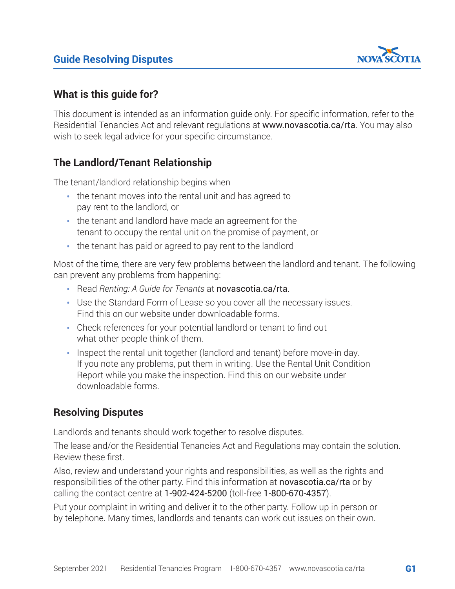

## **What is this guide for?**

This document is intended as an information guide only. For specific information, refer to the Residential Tenancies Act and relevant regulations at [www.novascotia.ca/rta](https://beta.novascotia.ca/programs-and-services/residential-tenancies-program). You may also wish to seek legal advice for your specific circumstance.

# **The Landlord/Tenant Relationship**

The tenant/landlord relationship begins when

- the tenant moves into the rental unit and has agreed to pay rent to the landlord, or
- the tenant and landlord have made an agreement for the tenant to occupy the rental unit on the promise of payment, or
- the tenant has paid or agreed to pay rent to the landlord

Most of the time, there are very few problems between the landlord and tenant. The following can prevent any problems from happening:

- Read *Renting: A Guide for Tenants* at [novascotia.ca/rta](https://beta.novascotia.ca/programs-and-services/residential-tenancies-program).
- Use the Standard Form of Lease so you cover all the necessary issues. Find this on our website under downloadable forms.
- Check references for your potential landlord or tenant to find out what other people think of them.
- Inspect the rental unit together (landlord and tenant) before move-in day. If you note any problems, put them in writing. Use the Rental Unit Condition Report while you make the inspection. Find this on our website under downloadable forms.

## **Resolving Disputes**

Landlords and tenants should work together to resolve disputes.

The lease and/or the Residential Tenancies Act and Regulations may contain the solution. Review these first.

Also, review and understand your rights and responsibilities, as well as the rights and responsibilities of the other party. Find this information at [novascotia.ca/rta](https://beta.novascotia.ca/programs-and-services/residential-tenancies-program) or by calling the contact centre at 1-902-424-5200 (toll-free 1-800-670-4357).

Put your complaint in writing and deliver it to the other party. Follow up in person or by telephone. Many times, landlords and tenants can work out issues on their own.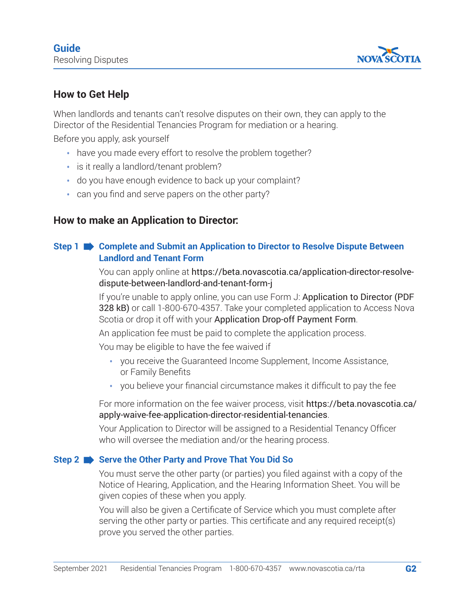

# **How to Get Help**

When landlords and tenants can't resolve disputes on their own, they can apply to the Director of the Residential Tenancies Program for mediation or a hearing.

Before you apply, ask yourself

- have you made every effort to resolve the problem together?
- is it really a landlord/tenant problem?
- do you have enough evidence to back up your complaint?
- can you find and serve papers on the other party?

### **How to make an Application to Director:**

### **Step 1 Complete and Submit an Application to Director to Resolve Dispute Between Landlord and Tenant Form**

You can apply online at [https://beta.novascotia.ca/application-director-resolve](https://beta.novascotia.ca/application-director-resolve-dispute-between-landlord-and-tenant-form-j)[dispute-between-landlord-and-tenant-form-j](https://beta.novascotia.ca/application-director-resolve-dispute-between-landlord-and-tenant-form-j)

If you're unable to apply online, you can use Form J: Application to Director (PDF [328 kB\)](https://beta.novascotia.ca/sites/default/files/documents/2-419/form-j-application-director-en.pdf) or call 1-800-670-4357. Take your completed application to Access Nova Scotia or drop it off with your [Application Drop-off Payment Form](https://beta.novascotia.ca/application-drop-payment-form-residential-tenancies).

An application fee must be paid to complete the application process.

You may be eligible to have the fee waived if

- you receive the Guaranteed Income Supplement, Income Assistance, or Family Benefits
- you believe your financial circumstance makes it difficult to pay the fee

For more information on the fee waiver process, visit [https://beta.novascotia.ca/](https://beta.novascotia.ca/apply-waive-fee-application-director-residential-tenancies) [apply-waive-fee-application-director-residential-tenancies](https://beta.novascotia.ca/apply-waive-fee-application-director-residential-tenancies).

Your Application to Director will be assigned to a Residential Tenancy Officer who will oversee the mediation and/or the hearing process.

### **Step 2 Serve the Other Party and Prove That You Did So**

You must serve the other party (or parties) you filed against with a copy of the Notice of Hearing, Application, and the Hearing Information Sheet. You will be given copies of these when you apply.

You will also be given a Certificate of Service which you must complete after serving the other party or parties. This certificate and any required receipt(s) prove you served the other parties.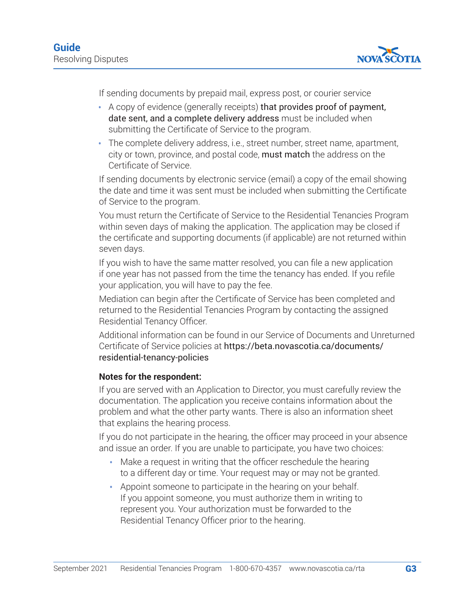

If sending documents by prepaid mail, express post, or courier service

- A copy of evidence (generally receipts) that provides proof of payment, date sent, and a complete delivery address must be included when submitting the Certificate of Service to the program.
- The complete delivery address, i.e., street number, street name, apartment, city or town, province, and postal code, must match the address on the Certificate of Service.

If sending documents by electronic service (email) a copy of the email showing the date and time it was sent must be included when submitting the Certificate of Service to the program.

You must return the Certificate of Service to the Residential Tenancies Program within seven days of making the application. The application may be closed if the certificate and supporting documents (if applicable) are not returned within seven days.

If you wish to have the same matter resolved, you can file a new application if one year has not passed from the time the tenancy has ended. If you refile your application, you will have to pay the fee.

Mediation can begin after the Certificate of Service has been completed and returned to the Residential Tenancies Program by contacting the assigned Residential Tenancy Officer.

Additional information can be found in our Service of Documents and Unreturned Certificate of Service policies at [https://beta.novascotia.ca/documents/](https://beta.novascotia.ca/documents/residential-tenancy-policies) [residential-tenancy-policies](https://beta.novascotia.ca/documents/residential-tenancy-policies)

### **Notes for the respondent:**

If you are served with an Application to Director, you must carefully review the documentation. The application you receive contains information about the problem and what the other party wants. There is also an information sheet that explains the hearing process.

If you do not participate in the hearing, the officer may proceed in your absence and issue an order. If you are unable to participate, you have two choices:

- Make a request in writing that the officer reschedule the hearing to a different day or time. Your request may or may not be granted.
- Appoint someone to participate in the hearing on your behalf. If you appoint someone, you must authorize them in writing to represent you. Your authorization must be forwarded to the Residential Tenancy Officer prior to the hearing.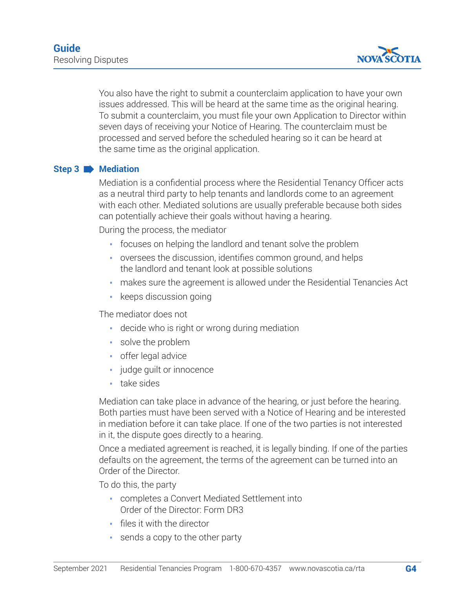

You also have the right to submit a counterclaim application to have your own issues addressed. This will be heard at the same time as the original hearing. To submit a counterclaim, you must file your own Application to Director within seven days of receiving your Notice of Hearing. The counterclaim must be processed and served before the scheduled hearing so it can be heard at the same time as the original application.

### **Step 3 Mediation**

Mediation is a confidential process where the Residential Tenancy Officer acts as a neutral third party to help tenants and landlords come to an agreement with each other. Mediated solutions are usually preferable because both sides can potentially achieve their goals without having a hearing.

During the process, the mediator

- focuses on helping the landlord and tenant solve the problem
- oversees the discussion, identifies common ground, and helps the landlord and tenant look at possible solutions
- makes sure the agreement is allowed under the Residential Tenancies Act
- keeps discussion going

The mediator does not

- decide who is right or wrong during mediation
- solve the problem
- offer legal advice
- judge quilt or innocence
- take sides

Mediation can take place in advance of the hearing, or just before the hearing. Both parties must have been served with a Notice of Hearing and be interested in mediation before it can take place. If one of the two parties is not interested in it, the dispute goes directly to a hearing.

Once a mediated agreement is reached, it is legally binding. If one of the parties defaults on the agreement, the terms of the agreement can be turned into an Order of the Director.

To do this, the party

- completes a Convert Mediated Settlement into Order of the Director: Form DR3
- files it with the director
- sends a copy to the other party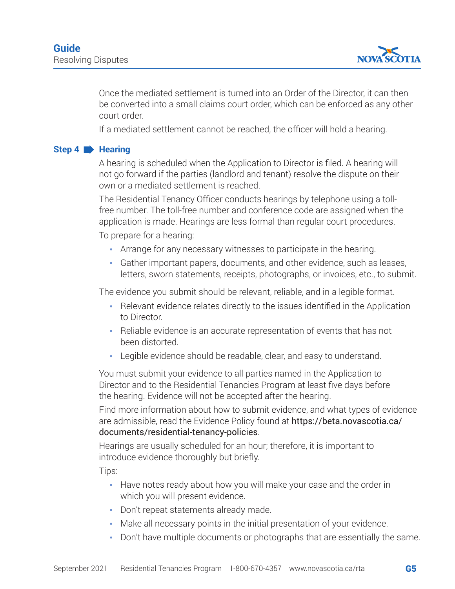

Once the mediated settlement is turned into an Order of the Director, it can then be converted into a small claims court order, which can be enforced as any other court order.

If a mediated settlement cannot be reached, the officer will hold a hearing.

#### **Step 4 Hearing**

A hearing is scheduled when the Application to Director is filed. A hearing will not go forward if the parties (landlord and tenant) resolve the dispute on their own or a mediated settlement is reached.

The Residential Tenancy Officer conducts hearings by telephone using a tollfree number. The toll-free number and conference code are assigned when the application is made. Hearings are less formal than regular court procedures.

To prepare for a hearing:

- Arrange for any necessary witnesses to participate in the hearing.
- Gather important papers, documents, and other evidence, such as leases, letters, sworn statements, receipts, photographs, or invoices, etc., to submit.

The evidence you submit should be relevant, reliable, and in a legible format.

- Relevant evidence relates directly to the issues identified in the Application to Director.
- Reliable evidence is an accurate representation of events that has not been distorted.
- Legible evidence should be readable, clear, and easy to understand.

You must submit your evidence to all parties named in the Application to Director and to the Residential Tenancies Program at least five days before the hearing. Evidence will not be accepted after the hearing.

Find more information about how to submit evidence, and what types of evidence are admissible, read the Evidence Policy found at [https://beta.novascotia.ca/](https://beta.novascotia.ca/documents/residential-tenancy-policies) [documents/residential-tenancy-policies](https://beta.novascotia.ca/documents/residential-tenancy-policies).

Hearings are usually scheduled for an hour; therefore, it is important to introduce evidence thoroughly but briefly.

Tips:

- Have notes ready about how you will make your case and the order in which you will present evidence.
- Don't repeat statements already made.
- Make all necessary points in the initial presentation of your evidence.
- Don't have multiple documents or photographs that are essentially the same.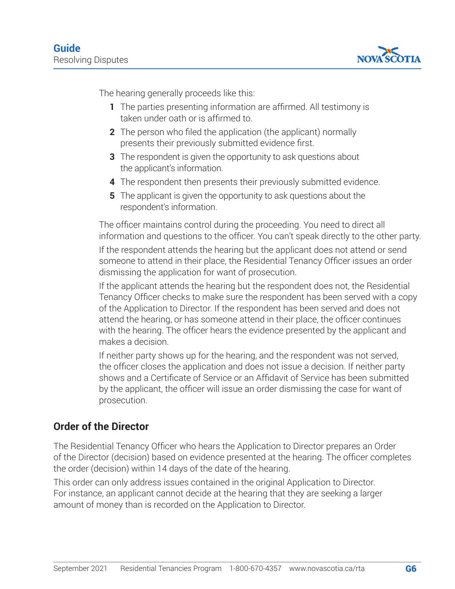

The hearing generally proceeds like this:

- **1** The parties presenting information are affirmed. All testimony is taken under oath or is affirmed to.
- **2** The person who filed the application (the applicant) normally presents their previously submitted evidence first.
- **3** The respondent is given the opportunity to ask questions about the applicant's information.
- **4** The respondent then presents their previously submitted evidence.
- **5** The applicant is given the opportunity to ask questions about the respondent's information.

The officer maintains control during the proceeding. You need to direct all information and questions to the officer. You can't speak directly to the other party.

If the respondent attends the hearing but the applicant does not attend or send someone to attend in their place, the Residential Tenancy Officer issues an order dismissing the application for want of prosecution.

If the applicant attends the hearing but the respondent does not, the Residential Tenancy Officer checks to make sure the respondent has been served with a copy of the Application to Director. If the respondent has been served and does not attend the hearing, or has someone attend in their place, the officer continues with the hearing. The officer hears the evidence presented by the applicant and makes a decision.

If neither party shows up for the hearing, and the respondent was not served, the officer closes the application and does not issue a decision. If neither party shows and a Certificate of Service or an Affidavit of Service has been submitted by the applicant, the officer will issue an order dismissing the case for want of prosecution.

## **Order of the Director**

The Residential Tenancy Officer who hears the Application to Director prepares an Order of the Director (decision) based on evidence presented at the hearing. The officer completes the order (decision) within 14 days of the date of the hearing.

This order can only address issues contained in the original Application to Director. For instance, an applicant cannot decide at the hearing that they are seeking a larger amount of money than is recorded on the Application to Director.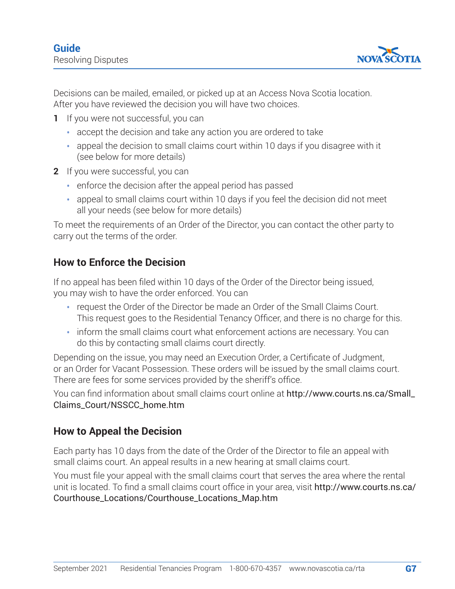

Decisions can be mailed, emailed, or picked up at an Access Nova Scotia location. After you have reviewed the decision you will have two choices.

- **1** If you were not successful, you can
	- accept the decision and take any action you are ordered to take
	- appeal the decision to small claims court within 10 days if you disagree with it (see below for more details)
- **2** If you were successful, you can
	- enforce the decision after the appeal period has passed
	- appeal to small claims court within 10 days if you feel the decision did not meet all your needs (see below for more details)

To meet the requirements of an Order of the Director, you can contact the other party to carry out the terms of the order.

## **How to Enforce the Decision**

If no appeal has been filed within 10 days of the Order of the Director being issued, you may wish to have the order enforced. You can

- request the Order of the Director be made an Order of the Small Claims Court. This request goes to the Residential Tenancy Officer, and there is no charge for this.
- inform the small claims court what enforcement actions are necessary. You can do this by contacting small claims court directly.

Depending on the issue, you may need an Execution Order, a Certificate of Judgment, or an Order for Vacant Possession. These orders will be issued by the small claims court. There are fees for some services provided by the sheriff's office.

You can find information about small claims court online at [http://www.courts.ns.ca/Small\\_](https://www.courts.ns.ca/Small_%20Claims_Court/NSSCC_home.htm) [Claims\\_Court/NSSCC\\_home.htm](https://www.courts.ns.ca/Small_%20Claims_Court/NSSCC_home.htm)

## **How to Appeal the Decision**

Each party has 10 days from the date of the Order of the Director to file an appeal with small claims court. An appeal results in a new hearing at small claims court.

You must file your appeal with the small claims court that serves the area where the rental unit is located. To find a small claims court office in your area, visit [http://www.courts.ns.ca/](https://www.courts.ns.ca/Courthouse_Locations/Courthouse_Locations_Map.htm) [Courthouse\\_Locations/Courthouse\\_Locations\\_Map.htm](https://www.courts.ns.ca/Courthouse_Locations/Courthouse_Locations_Map.htm)